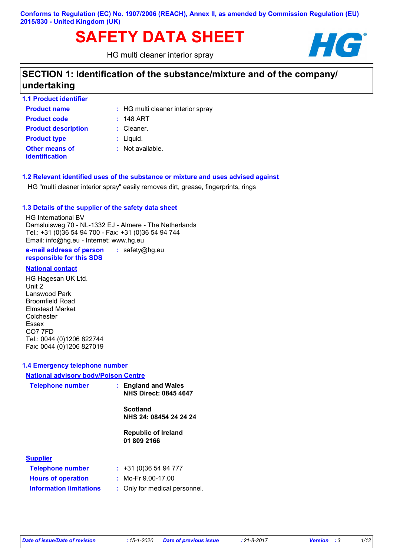# SAFETY DATA SHEET **HG**

HG multi cleaner interior spray



### **SECTION 1: Identification of the substance/mixture and of the company/ undertaking**

| <b>1.1 Product identifier</b>           |                                   |
|-----------------------------------------|-----------------------------------|
| <b>Product name</b>                     | : HG multi cleaner interior spray |
| <b>Product code</b>                     | $: 148$ ART                       |
| <b>Product description</b>              | $:$ Cleaner.                      |
| <b>Product type</b>                     | $:$ Liquid.                       |
| Other means of<br><b>identification</b> | : Not available.                  |

**1.2 Relevant identified uses of the substance or mixture and uses advised against**

HG "multi cleaner interior spray" easily removes dirt, grease, fingerprints, rings

#### **1.3 Details of the supplier of the safety data sheet**

HG International BV Damsluisweg 70 - NL-1332 EJ - Almere - The Netherlands Tel.: +31 (0)36 54 94 700 - Fax: +31 (0)36 54 94 744 Email: info@hg.eu - Internet: www.hg.eu

**e-mail address of person responsible for this SDS :** safety@hg.eu

#### **National contact**

HG Hagesan UK Ltd. Unit 2 Lanswood Park Broomfield Road Elmstead Market Colchester Essex CO7 7FD Tel.: 0044 (0)1206 822744 Fax: 0044 (0)1206 827019

#### **1.4 Emergency telephone number**

| <b>National advisory body/Poison Centre</b> |                                                     |  |  |  |
|---------------------------------------------|-----------------------------------------------------|--|--|--|
| <b>Telephone number</b>                     | : England and Wales<br><b>NHS Direct: 0845 4647</b> |  |  |  |
|                                             | <b>Scotland</b>                                     |  |  |  |
|                                             | NHS 24: 08454 24 24 24                              |  |  |  |
|                                             | <b>Republic of Ireland</b><br>01 809 2166           |  |  |  |
| <b>Supplier</b>                             |                                                     |  |  |  |
| <b>Telephone number</b>                     | : 431(0)365494777                                   |  |  |  |
| <b>Hours of operation</b>                   | : Mo-Fr $9.00$ -17.00                               |  |  |  |
| <b>Information limitations</b>              | : Only for medical personnel.                       |  |  |  |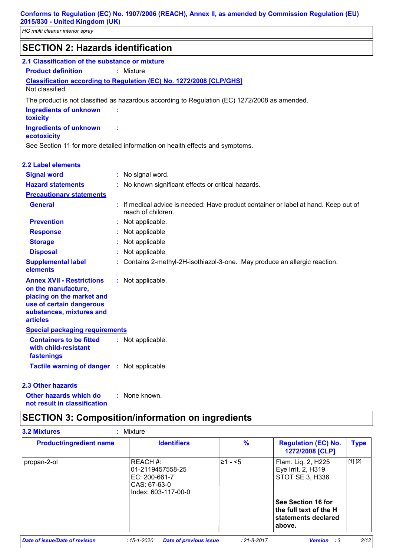*HG multi cleaner interior spray*

| <b>SECTION 2: Hazards identification</b>                                                                                                                        |                                                                                                           |
|-----------------------------------------------------------------------------------------------------------------------------------------------------------------|-----------------------------------------------------------------------------------------------------------|
| 2.1 Classification of the substance or mixture                                                                                                                  |                                                                                                           |
| <b>Product definition</b>                                                                                                                                       | : Mixture                                                                                                 |
| Not classified.                                                                                                                                                 | <b>Classification according to Regulation (EC) No. 1272/2008 [CLP/GHS]</b>                                |
|                                                                                                                                                                 | The product is not classified as hazardous according to Regulation (EC) 1272/2008 as amended.             |
| <b>Ingredients of unknown</b><br>toxicity                                                                                                                       |                                                                                                           |
| <b>Ingredients of unknown</b><br>ecotoxicity                                                                                                                    | ÷                                                                                                         |
|                                                                                                                                                                 | See Section 11 for more detailed information on health effects and symptoms.                              |
| <b>2.2 Label elements</b>                                                                                                                                       |                                                                                                           |
| <b>Signal word</b>                                                                                                                                              | : No signal word.                                                                                         |
| <b>Hazard statements</b>                                                                                                                                        | : No known significant effects or critical hazards.                                                       |
| <b>Precautionary statements</b>                                                                                                                                 |                                                                                                           |
| <b>General</b>                                                                                                                                                  | : If medical advice is needed: Have product container or label at hand. Keep out of<br>reach of children. |
| <b>Prevention</b>                                                                                                                                               | : Not applicable.                                                                                         |
| <b>Response</b>                                                                                                                                                 | : Not applicable                                                                                          |
| <b>Storage</b>                                                                                                                                                  | : Not applicable                                                                                          |
| <b>Disposal</b>                                                                                                                                                 | Not applicable                                                                                            |
| <b>Supplemental label</b><br>elements                                                                                                                           | : Contains 2-methyl-2H-isothiazol-3-one. May produce an allergic reaction.                                |
| <b>Annex XVII - Restrictions</b><br>on the manufacture,<br>placing on the market and<br>use of certain dangerous<br>substances, mixtures and<br><b>articles</b> | : Not applicable.                                                                                         |
| <b>Special packaging requirements</b>                                                                                                                           |                                                                                                           |
| <b>Containers to be fitted</b><br>with child-resistant<br>fastenings                                                                                            | : Not applicable.                                                                                         |
| Tactile warning of danger : Not applicable.                                                                                                                     |                                                                                                           |

#### **2.3 Other hazards**

**Other hazards which do : not result in classification** : None known.

### **SECTION 3: Composition/information on ingredients**

| <b>Product/ingredient name</b> | <b>Identifiers</b>                                                                     | $\%$     | <b>Regulation (EC) No.</b><br>1272/2008 [CLP]                                 | <b>Type</b> |
|--------------------------------|----------------------------------------------------------------------------------------|----------|-------------------------------------------------------------------------------|-------------|
| propan-2-ol                    | REACH #:<br>01-2119457558-25<br>$EC: 200-661-7$<br>CAS: 67-63-0<br>Index: 603-117-00-0 | l≥1 - <5 | Flam. Liq. 2, H225<br>Eye Irrit. 2, H319<br>STOT SE 3, H336                   | [1] [2]     |
|                                |                                                                                        |          | See Section 16 for<br>the full text of the H<br>statements declared<br>above. |             |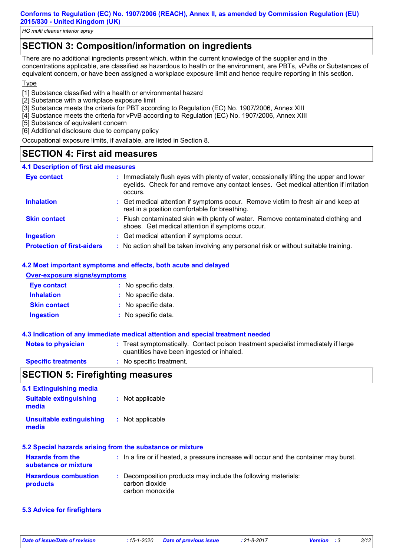*HG multi cleaner interior spray*

### **SECTION 3: Composition/information on ingredients**

There are no additional ingredients present which, within the current knowledge of the supplier and in the concentrations applicable, are classified as hazardous to health or the environment, are PBTs, vPvBs or Substances of equivalent concern, or have been assigned a workplace exposure limit and hence require reporting in this section.

#### **Type**

[1] Substance classified with a health or environmental hazard

- [2] Substance with a workplace exposure limit
- [3] Substance meets the criteria for PBT according to Regulation (EC) No. 1907/2006, Annex XIII
- [4] Substance meets the criteria for vPvB according to Regulation (EC) No. 1907/2006, Annex XIII
- [5] Substance of equivalent concern
- [6] Additional disclosure due to company policy

Occupational exposure limits, if available, are listed in Section 8.

### **SECTION 4: First aid measures**

#### **4.1 Description of first aid measures**

| <b>Eye contact</b>                | ÷. | Immediately flush eyes with plenty of water, occasionally lifting the upper and lower<br>eyelids. Check for and remove any contact lenses. Get medical attention if irritation<br>occurs. |
|-----------------------------------|----|-------------------------------------------------------------------------------------------------------------------------------------------------------------------------------------------|
| <b>Inhalation</b>                 |    | : Get medical attention if symptoms occur. Remove victim to fresh air and keep at<br>rest in a position comfortable for breathing.                                                        |
| <b>Skin contact</b>               |    | : Flush contaminated skin with plenty of water. Remove contaminated clothing and<br>shoes. Get medical attention if symptoms occur.                                                       |
| <b>Ingestion</b>                  |    | : Get medical attention if symptoms occur.                                                                                                                                                |
| <b>Protection of first-aiders</b> |    | : No action shall be taken involving any personal risk or without suitable training.                                                                                                      |

#### **4.2 Most important symptoms and effects, both acute and delayed**

| <b>Over-exposure signs/symptoms</b> |                     |  |  |
|-------------------------------------|---------------------|--|--|
| <b>Eye contact</b>                  | : No specific data. |  |  |
| <b>Inhalation</b>                   | : No specific data. |  |  |
| <b>Skin contact</b>                 | : No specific data. |  |  |
| <b>Ingestion</b>                    | : No specific data. |  |  |

#### **4.3 Indication of any immediate medical attention and special treatment needed**

| <b>Notes to physician</b>  | : Treat symptomatically. Contact poison treatment specialist immediately if large<br>quantities have been ingested or inhaled. |
|----------------------------|--------------------------------------------------------------------------------------------------------------------------------|
| <b>Specific treatments</b> | : No specific treatment.                                                                                                       |

### **SECTION 5: Firefighting measures**

| 5.1 Extinguishing media                         |                                                                                                    |
|-------------------------------------------------|----------------------------------------------------------------------------------------------------|
| <b>Suitable extinguishing</b><br>media          | : Not applicable                                                                                   |
| <b>Unsuitable extinguishing</b><br>media        | : Not applicable                                                                                   |
|                                                 | 5.2 Special hazards arising from the substance or mixture                                          |
| <b>Hazards from the</b><br>substance or mixture | : In a fire or if heated, a pressure increase will occur and the container may burst.              |
| <b>Hazardous combustion</b><br>products         | : Decomposition products may include the following materials:<br>carbon dioxide<br>carbon monoxide |

**5.3 Advice for firefighters**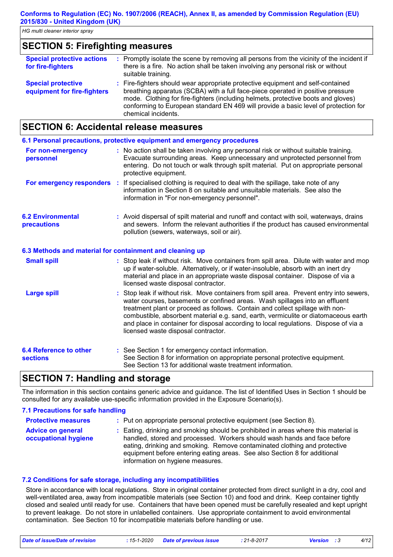## **SECTION 5: Firefighting measures**

| <b>Special protective actions</b><br>for fire-fighters   | : Promptly isolate the scene by removing all persons from the vicinity of the incident if<br>there is a fire. No action shall be taken involving any personal risk or without<br>suitable training.                                                                                                                                                                   |
|----------------------------------------------------------|-----------------------------------------------------------------------------------------------------------------------------------------------------------------------------------------------------------------------------------------------------------------------------------------------------------------------------------------------------------------------|
| <b>Special protective</b><br>equipment for fire-fighters | : Fire-fighters should wear appropriate protective equipment and self-contained<br>breathing apparatus (SCBA) with a full face-piece operated in positive pressure<br>mode. Clothing for fire-fighters (including helmets, protective boots and gloves)<br>conforming to European standard EN 469 will provide a basic level of protection for<br>chemical incidents. |

### **SECTION 6: Accidental release measures**

|                                                          | 6.1 Personal precautions, protective equipment and emergency procedures                                                                                                                                                                                                                                                                                                                                                                                                        |
|----------------------------------------------------------|--------------------------------------------------------------------------------------------------------------------------------------------------------------------------------------------------------------------------------------------------------------------------------------------------------------------------------------------------------------------------------------------------------------------------------------------------------------------------------|
| For non-emergency<br>personnel                           | : No action shall be taken involving any personal risk or without suitable training.<br>Evacuate surrounding areas. Keep unnecessary and unprotected personnel from<br>entering. Do not touch or walk through spilt material. Put on appropriate personal<br>protective equipment.                                                                                                                                                                                             |
|                                                          | For emergency responders : If specialised clothing is required to deal with the spillage, take note of any<br>information in Section 8 on suitable and unsuitable materials. See also the<br>information in "For non-emergency personnel".                                                                                                                                                                                                                                     |
| <b>6.2 Environmental</b><br>precautions                  | : Avoid dispersal of spilt material and runoff and contact with soil, waterways, drains<br>and sewers. Inform the relevant authorities if the product has caused environmental<br>pollution (sewers, waterways, soil or air).                                                                                                                                                                                                                                                  |
| 6.3 Methods and material for containment and cleaning up |                                                                                                                                                                                                                                                                                                                                                                                                                                                                                |
| <b>Small spill</b>                                       | : Stop leak if without risk. Move containers from spill area. Dilute with water and mop<br>up if water-soluble. Alternatively, or if water-insoluble, absorb with an inert dry<br>material and place in an appropriate waste disposal container. Dispose of via a<br>licensed waste disposal contractor.                                                                                                                                                                       |
| <b>Large spill</b>                                       | : Stop leak if without risk. Move containers from spill area. Prevent entry into sewers,<br>water courses, basements or confined areas. Wash spillages into an effluent<br>treatment plant or proceed as follows. Contain and collect spillage with non-<br>combustible, absorbent material e.g. sand, earth, vermiculite or diatomaceous earth<br>and place in container for disposal according to local regulations. Dispose of via a<br>licensed waste disposal contractor. |
| <b>6.4 Reference to other</b><br><b>sections</b>         | : See Section 1 for emergency contact information.<br>See Section 8 for information on appropriate personal protective equipment.<br>See Section 13 for additional waste treatment information.                                                                                                                                                                                                                                                                                |

### **SECTION 7: Handling and storage**

The information in this section contains generic advice and guidance. The list of Identified Uses in Section 1 should be consulted for any available use-specific information provided in the Exposure Scenario(s).

#### **7.1 Precautions for safe handling**

| <b>Protective measures</b>                       | : Put on appropriate personal protective equipment (see Section 8).                                                                                                                                                                                                                                                                                           |
|--------------------------------------------------|---------------------------------------------------------------------------------------------------------------------------------------------------------------------------------------------------------------------------------------------------------------------------------------------------------------------------------------------------------------|
| <b>Advice on general</b><br>occupational hygiene | : Eating, drinking and smoking should be prohibited in areas where this material is<br>handled, stored and processed. Workers should wash hands and face before<br>eating, drinking and smoking. Remove contaminated clothing and protective<br>equipment before entering eating areas. See also Section 8 for additional<br>information on hygiene measures. |

#### **7.2 Conditions for safe storage, including any incompatibilities**

Store in accordance with local regulations. Store in original container protected from direct sunlight in a dry, cool and well-ventilated area, away from incompatible materials (see Section 10) and food and drink. Keep container tightly closed and sealed until ready for use. Containers that have been opened must be carefully resealed and kept upright to prevent leakage. Do not store in unlabelled containers. Use appropriate containment to avoid environmental contamination. See Section 10 for incompatible materials before handling or use.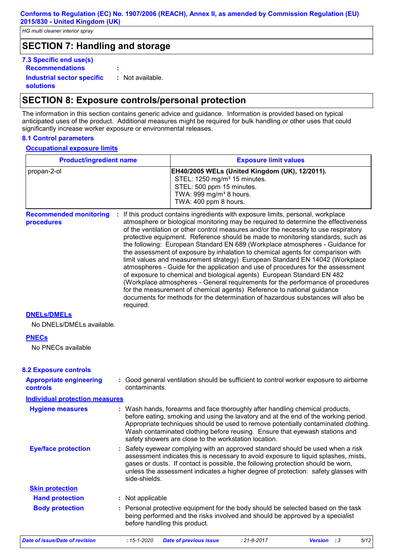### **SECTION 7: Handling and storage**

| 7.3 Specific end use(s)                        |                  |
|------------------------------------------------|------------------|
| <b>Recommendations</b>                         |                  |
| Industrial sector specific<br><b>solutions</b> | : Not available. |

### **SECTION 8: Exposure controls/personal protection**

The information in this section contains generic advice and guidance. Information is provided based on typical anticipated uses of the product. Additional measures might be required for bulk handling or other uses that could significantly increase worker exposure or environmental releases.

#### **8.1 Control parameters**

 $\mathsf T$ 

#### **Occupational exposure limits**

| <b>Product/ingredient name</b>                    |                               | <b>Exposure limit values</b>                                                                                                                                                                                                                                                                                                                                                                                                                                                                                                                                                                                                                                                                                                                                                                                                                                                                                                                                                                                        |  |  |  |
|---------------------------------------------------|-------------------------------|---------------------------------------------------------------------------------------------------------------------------------------------------------------------------------------------------------------------------------------------------------------------------------------------------------------------------------------------------------------------------------------------------------------------------------------------------------------------------------------------------------------------------------------------------------------------------------------------------------------------------------------------------------------------------------------------------------------------------------------------------------------------------------------------------------------------------------------------------------------------------------------------------------------------------------------------------------------------------------------------------------------------|--|--|--|
| propan-2-ol                                       |                               | EH40/2005 WELs (United Kingdom (UK), 12/2011).<br>STEL: 1250 mg/m <sup>3</sup> 15 minutes.<br>STEL: 500 ppm 15 minutes.<br>TWA: 999 mg/m <sup>3</sup> 8 hours.<br>TWA: 400 ppm 8 hours.                                                                                                                                                                                                                                                                                                                                                                                                                                                                                                                                                                                                                                                                                                                                                                                                                             |  |  |  |
| <b>Recommended monitoring</b><br>procedures       | required.                     | If this product contains ingredients with exposure limits, personal, workplace<br>atmosphere or biological monitoring may be required to determine the effectiveness<br>of the ventilation or other control measures and/or the necessity to use respiratory<br>protective equipment. Reference should be made to monitoring standards, such as<br>the following: European Standard EN 689 (Workplace atmospheres - Guidance for<br>the assessment of exposure by inhalation to chemical agents for comparison with<br>limit values and measurement strategy) European Standard EN 14042 (Workplace<br>atmospheres - Guide for the application and use of procedures for the assessment<br>of exposure to chemical and biological agents) European Standard EN 482<br>(Workplace atmospheres - General requirements for the performance of procedures<br>for the measurement of chemical agents) Reference to national guidance<br>documents for methods for the determination of hazardous substances will also be |  |  |  |
| <b>DNELS/DMELS</b>                                |                               |                                                                                                                                                                                                                                                                                                                                                                                                                                                                                                                                                                                                                                                                                                                                                                                                                                                                                                                                                                                                                     |  |  |  |
| No DNELs/DMELs available.                         |                               |                                                                                                                                                                                                                                                                                                                                                                                                                                                                                                                                                                                                                                                                                                                                                                                                                                                                                                                                                                                                                     |  |  |  |
| <b>PNECs</b><br>No PNECs available                |                               |                                                                                                                                                                                                                                                                                                                                                                                                                                                                                                                                                                                                                                                                                                                                                                                                                                                                                                                                                                                                                     |  |  |  |
| <b>8.2 Exposure controls</b>                      |                               |                                                                                                                                                                                                                                                                                                                                                                                                                                                                                                                                                                                                                                                                                                                                                                                                                                                                                                                                                                                                                     |  |  |  |
| <b>Appropriate engineering</b><br><b>controls</b> | contaminants.                 | : Good general ventilation should be sufficient to control worker exposure to airborne                                                                                                                                                                                                                                                                                                                                                                                                                                                                                                                                                                                                                                                                                                                                                                                                                                                                                                                              |  |  |  |
| <b>Individual protection measures</b>             |                               |                                                                                                                                                                                                                                                                                                                                                                                                                                                                                                                                                                                                                                                                                                                                                                                                                                                                                                                                                                                                                     |  |  |  |
| <b>Hygiene measures</b>                           |                               | : Wash hands, forearms and face thoroughly after handling chemical products,<br>before eating, smoking and using the lavatory and at the end of the working period.<br>Appropriate techniques should be used to remove potentially contaminated clothing.<br>Wash contaminated clothing before reusing. Ensure that eyewash stations and<br>safety showers are close to the workstation location.                                                                                                                                                                                                                                                                                                                                                                                                                                                                                                                                                                                                                   |  |  |  |
| <b>Eye/face protection</b>                        | side-shields.                 | : Safety eyewear complying with an approved standard should be used when a risk<br>assessment indicates this is necessary to avoid exposure to liquid splashes, mists,<br>gases or dusts. If contact is possible, the following protection should be worn,<br>unless the assessment indicates a higher degree of protection: safety glasses with                                                                                                                                                                                                                                                                                                                                                                                                                                                                                                                                                                                                                                                                    |  |  |  |
| <b>Skin protection</b>                            |                               |                                                                                                                                                                                                                                                                                                                                                                                                                                                                                                                                                                                                                                                                                                                                                                                                                                                                                                                                                                                                                     |  |  |  |
| <b>Hand protection</b>                            | : Not applicable              |                                                                                                                                                                                                                                                                                                                                                                                                                                                                                                                                                                                                                                                                                                                                                                                                                                                                                                                                                                                                                     |  |  |  |
| <b>Body protection</b>                            | before handling this product. | : Personal protective equipment for the body should be selected based on the task<br>being performed and the risks involved and should be approved by a specialist                                                                                                                                                                                                                                                                                                                                                                                                                                                                                                                                                                                                                                                                                                                                                                                                                                                  |  |  |  |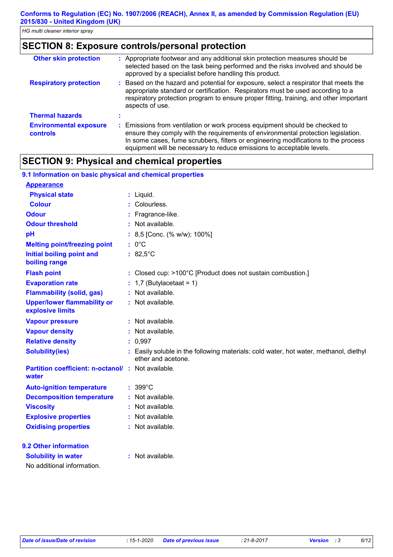### **SECTION 8: Exposure controls/personal protection**

| <b>Other skin protection</b>                     | : Appropriate footwear and any additional skin protection measures should be<br>selected based on the task being performed and the risks involved and should be<br>approved by a specialist before handling this product.                                                                                                       |
|--------------------------------------------------|---------------------------------------------------------------------------------------------------------------------------------------------------------------------------------------------------------------------------------------------------------------------------------------------------------------------------------|
| <b>Respiratory protection</b>                    | : Based on the hazard and potential for exposure, select a respirator that meets the<br>appropriate standard or certification. Respirators must be used according to a<br>respiratory protection program to ensure proper fitting, training, and other important<br>aspects of use.                                             |
| <b>Thermal hazards</b>                           |                                                                                                                                                                                                                                                                                                                                 |
| <b>Environmental exposure</b><br><b>controls</b> | : Emissions from ventilation or work process equipment should be checked to<br>ensure they comply with the requirements of environmental protection legislation.<br>In some cases, fume scrubbers, filters or engineering modifications to the process<br>equipment will be necessary to reduce emissions to acceptable levels. |

### **SECTION 9: Physical and chemical properties**

| 9.1 Information on basic physical and chemical properties         |                                                                                                             |
|-------------------------------------------------------------------|-------------------------------------------------------------------------------------------------------------|
| <b>Appearance</b>                                                 |                                                                                                             |
| <b>Physical state</b>                                             | $:$ Liquid.                                                                                                 |
| <b>Colour</b>                                                     | : Colourless.                                                                                               |
| <b>Odour</b>                                                      | Fragrance-like.                                                                                             |
| <b>Odour threshold</b>                                            | : Not available.                                                                                            |
| pH                                                                | : 8,5 [Conc. (% w/w): 100%]                                                                                 |
| <b>Melting point/freezing point</b>                               | $: 0^{\circ}C$                                                                                              |
| <b>Initial boiling point and</b><br>boiling range                 | : $82,5^{\circ}$ C                                                                                          |
| <b>Flash point</b>                                                | : Closed cup: >100°C [Product does not sustain combustion.]                                                 |
| <b>Evaporation rate</b>                                           | $: 1,7$ (Butylacetaat = 1)                                                                                  |
| <b>Flammability (solid, gas)</b>                                  | : Not available.                                                                                            |
| <b>Upper/lower flammability or</b><br>explosive limits            | : Not available.                                                                                            |
| <b>Vapour pressure</b>                                            | : Not available.                                                                                            |
| <b>Vapour density</b>                                             | : Not available.                                                                                            |
| <b>Relative density</b>                                           | : 0,997                                                                                                     |
| <b>Solubility(ies)</b>                                            | : Easily soluble in the following materials: cold water, hot water, methanol, diethyl<br>ether and acetone. |
| <b>Partition coefficient: n-octanol/: Not available.</b><br>water |                                                                                                             |
| <b>Auto-ignition temperature</b>                                  | $: 399^{\circ}$ C                                                                                           |
| <b>Decomposition temperature</b>                                  | : Not available.                                                                                            |
| <b>Viscosity</b>                                                  | Not available.                                                                                              |
| <b>Explosive properties</b>                                       | : Not available.                                                                                            |
| <b>Oxidising properties</b>                                       | : Not available.                                                                                            |
| 9.2 Other information                                             |                                                                                                             |
| <b>Solubility in water</b><br>No additional information.          | : Not available.                                                                                            |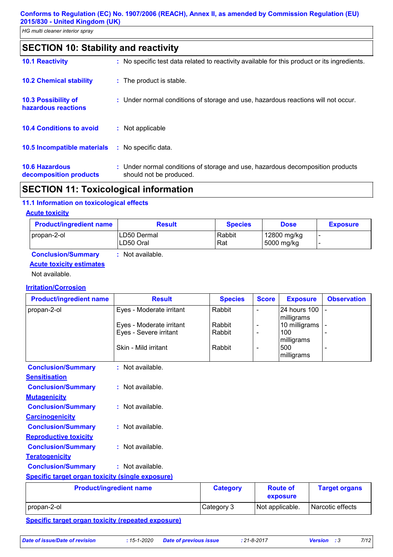### **SECTION 10: Stability and reactivity**

| <b>10.1 Reactivity</b>                            | : No specific test data related to reactivity available for this product or its ingredients.              |
|---------------------------------------------------|-----------------------------------------------------------------------------------------------------------|
| <b>10.2 Chemical stability</b>                    | : The product is stable.                                                                                  |
| <b>10.3 Possibility of</b><br>hazardous reactions | : Under normal conditions of storage and use, hazardous reactions will not occur.                         |
| <b>10.4 Conditions to avoid</b>                   | : Not applicable                                                                                          |
| 10.5 Incompatible materials                       | : No specific data.                                                                                       |
| <b>10.6 Hazardous</b><br>decomposition products   | : Under normal conditions of storage and use, hazardous decomposition products<br>should not be produced. |

### **SECTION 11: Toxicological information**

#### **11.1 Information on toxicological effects**

#### **Acute toxicity**

| <b>Product/ingredient name</b> | <b>Result</b>             | <b>Species</b> | <b>Dose</b>                | <b>Exposure</b> |
|--------------------------------|---------------------------|----------------|----------------------------|-----------------|
| propan-2-ol                    | ILD50 Dermal<br>LD50 Oral | Rabbit<br>Rat  | 12800 mg/kg<br>∣5000 mg/kg | -               |
| Conclusion Cummon              | Not ovojlohlo             |                |                            |                 |

#### **Conclusion/Summary :** Not available. **Acute toxicity estimates**

Not available.

#### **Irritation/Corrosion**

| <b>Product/ingredient name</b>                          | <b>Result</b>                  | <b>Species</b> | <b>Score</b>             | <b>Exposure</b>            | <b>Observation</b> |
|---------------------------------------------------------|--------------------------------|----------------|--------------------------|----------------------------|--------------------|
| propan-2-ol                                             | Eyes - Moderate irritant       | Rabbit         |                          | 24 hours 100<br>milligrams |                    |
|                                                         | Eyes - Moderate irritant       | Rabbit         |                          | 10 milligrams              |                    |
|                                                         | Eyes - Severe irritant         | Rabbit         | $\overline{\phantom{a}}$ | 100                        |                    |
|                                                         |                                |                |                          | milligrams                 |                    |
|                                                         | Skin - Mild irritant           | Rabbit         |                          | 500                        |                    |
|                                                         |                                |                |                          | milligrams                 |                    |
| <b>Conclusion/Summary</b>                               | : Not available.               |                |                          |                            |                    |
| <b>Sensitisation</b>                                    |                                |                |                          |                            |                    |
| <b>Conclusion/Summary</b>                               | : Not available.               |                |                          |                            |                    |
| <b>Mutagenicity</b>                                     |                                |                |                          |                            |                    |
| <b>Conclusion/Summary</b>                               | : Not available.               |                |                          |                            |                    |
| <b>Carcinogenicity</b>                                  |                                |                |                          |                            |                    |
| <b>Conclusion/Summary</b>                               | : Not available.               |                |                          |                            |                    |
| <b>Reproductive toxicity</b>                            |                                |                |                          |                            |                    |
| <b>Conclusion/Summary</b>                               | : Not available.               |                |                          |                            |                    |
| <b>Teratogenicity</b>                                   |                                |                |                          |                            |                    |
| <b>Conclusion/Summary</b>                               | : Not available.               |                |                          |                            |                    |
| <b>Specific target organ toxicity (single exposure)</b> |                                |                |                          |                            |                    |
|                                                         | <b>Droductlingradiant namo</b> | Cotogomi       |                          | $D$ $\sim$ $H$ $\sim$ $F$  | Tarant organe      |

| <b>Product/ingredient name</b> | <b>Category</b> | <b>Route of</b><br>exposure | <b>Target organs</b> |
|--------------------------------|-----------------|-----------------------------|----------------------|
| propan-2-ol                    | Category 3      | Not applicable.             | Narcotic effects     |
| .                              |                 |                             |                      |

#### **Specific target organ toxicity (repeated exposure)**

*Date of issue/Date of revision* **:** *15-1-2020 Date of previous issue : 21-8-2017 Version : 3 7/12*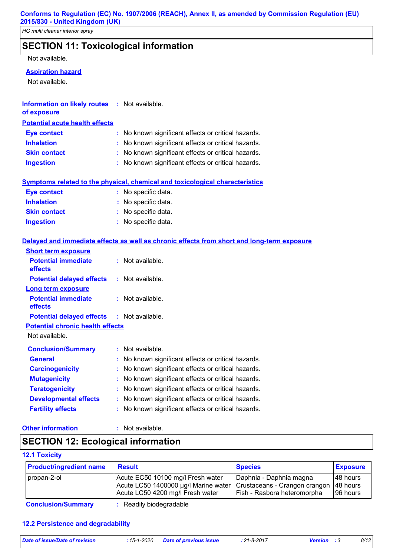### **SECTION 11: Toxicological information**

Not available.

#### **Aspiration hazard**

Not available.

| <b>Information on likely routes : Not available.</b> |  |
|------------------------------------------------------|--|
| of exposure                                          |  |

### **Potential acute health effects**

| <b>Eye contact</b>  | : No known significant effects or critical hazards. |
|---------------------|-----------------------------------------------------|
| <b>Inhalation</b>   | : No known significant effects or critical hazards. |
| <b>Skin contact</b> | : No known significant effects or critical hazards. |
| <b>Ingestion</b>    | : No known significant effects or critical hazards. |

#### **Symptoms related to the physical, chemical and toxicological characteristics**

| <b>Eye contact</b>  | : No specific data. |
|---------------------|---------------------|
| <b>Inhalation</b>   | : No specific data. |
| <b>Skin contact</b> | : No specific data. |
| <b>Ingestion</b>    | : No specific data. |

#### **Delayed and immediate effects as well as chronic effects from short and long-term exposure**

| <b>Short term exposure</b>                        |                                                     |
|---------------------------------------------------|-----------------------------------------------------|
| <b>Potential immediate</b><br>effects             | : Not available.                                    |
| <b>Potential delayed effects</b>                  | $:$ Not available.                                  |
| <b>Long term exposure</b>                         |                                                     |
| <b>Potential immediate</b><br>effects             | $:$ Not available.                                  |
| <b>Potential delayed effects : Not available.</b> |                                                     |
| <b>Potential chronic health effects</b>           |                                                     |
| Not available.                                    |                                                     |
| <b>Conclusion/Summary</b>                         | : Not available.                                    |
| <b>General</b>                                    | No known significant effects or critical hazards.   |
| <b>Carcinogenicity</b>                            | : No known significant effects or critical hazards. |
| <b>Mutagenicity</b>                               | No known significant effects or critical hazards.   |
| <b>Teratogenicity</b>                             | No known significant effects or critical hazards.   |
| <b>Developmental effects</b>                      | No known significant effects or critical hazards.   |
| <b>Fertility effects</b>                          | No known significant effects or critical hazards.   |

#### **Other information :**

: Not available.

### **SECTION 12: Ecological information**

#### **12.1 Toxicity**

| <b>Product/ingredient name</b> | <b>Result</b>                                                                                                 | <b>Species</b>                                                                          | <b>Exposure</b>                    |
|--------------------------------|---------------------------------------------------------------------------------------------------------------|-----------------------------------------------------------------------------------------|------------------------------------|
| propan-2-ol                    | Acute EC50 10100 mg/l Fresh water<br>Acute LC50 1400000 µg/l Marine water<br>Acute LC50 4200 mg/l Fresh water | Daphnia - Daphnia magna<br>Crustaceans - Crangon crangon<br>Fish - Rasbora heteromorpha | 148 hours<br>48 hours<br>196 hours |
| <b>Conclusion/Summary</b>      | : Readily biodegradable                                                                                       |                                                                                         |                                    |

#### **12.2 Persistence and degradability**

| Date of issue/Date of revision |  |  |  |  |  |
|--------------------------------|--|--|--|--|--|
|--------------------------------|--|--|--|--|--|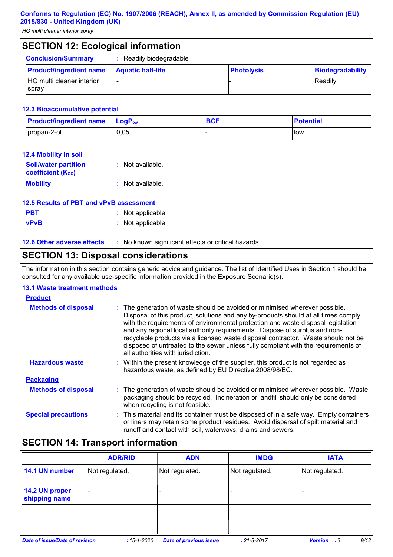*HG multi cleaner interior spray*

### **SECTION 12: Ecological information**

| <b>Conclusion/Summary</b>                        | : Readily biodegradable  |                   |                  |
|--------------------------------------------------|--------------------------|-------------------|------------------|
| <b>Product/ingredient name</b>                   | <b>Aquatic half-life</b> | <b>Photolysis</b> | Biodegradability |
| <b>HG multi cleaner interior</b><br><b>Spray</b> |                          |                   | Readily          |

#### **12.3 Bioaccumulative potential**

| <b>Product/ingredient name</b> | $LogP_{ow}$ | <b>BCF</b> | <b>Potential</b> |
|--------------------------------|-------------|------------|------------------|
| propan-2-ol                    | 0,05        |            | low              |

| 12.4 Mobility in soil                                   |                  |
|---------------------------------------------------------|------------------|
| <b>Soil/water partition</b><br><b>coefficient (Koc)</b> | : Not available. |
| <b>Mobility</b>                                         | : Not available. |

| 12.5 Results of PBT and vPvB assessment |                   |
|-----------------------------------------|-------------------|
| <b>PBT</b>                              | : Not applicable. |
| <b>vPvB</b>                             | : Not applicable. |

**12.6 Other adverse effects** : No known significant effects or critical hazards.

### **SECTION 13: Disposal considerations**

The information in this section contains generic advice and guidance. The list of Identified Uses in Section 1 should be consulted for any available use-specific information provided in the Exposure Scenario(s).

#### **13.1 Waste treatment methods**

| <b>Product</b>             |                                                                                                                                                                                                                                                                                                                                                                                                                                                                                                                                                      |
|----------------------------|------------------------------------------------------------------------------------------------------------------------------------------------------------------------------------------------------------------------------------------------------------------------------------------------------------------------------------------------------------------------------------------------------------------------------------------------------------------------------------------------------------------------------------------------------|
| <b>Methods of disposal</b> | : The generation of waste should be avoided or minimised wherever possible.<br>Disposal of this product, solutions and any by-products should at all times comply<br>with the requirements of environmental protection and waste disposal legislation<br>and any regional local authority requirements. Dispose of surplus and non-<br>recyclable products via a licensed waste disposal contractor. Waste should not be<br>disposed of untreated to the sewer unless fully compliant with the requirements of<br>all authorities with jurisdiction. |
| <b>Hazardous waste</b>     | : Within the present knowledge of the supplier, this product is not regarded as<br>hazardous waste, as defined by EU Directive 2008/98/EC.                                                                                                                                                                                                                                                                                                                                                                                                           |
| <b>Packaging</b>           |                                                                                                                                                                                                                                                                                                                                                                                                                                                                                                                                                      |
| <b>Methods of disposal</b> | : The generation of waste should be avoided or minimised wherever possible. Waste<br>packaging should be recycled. Incineration or landfill should only be considered<br>when recycling is not feasible.                                                                                                                                                                                                                                                                                                                                             |
| <b>Special precautions</b> | : This material and its container must be disposed of in a safe way. Empty containers<br>or liners may retain some product residues. Avoid dispersal of spilt material and<br>runoff and contact with soil, waterways, drains and sewers.                                                                                                                                                                                                                                                                                                            |

### **SECTION 14: Transport information**

|                                       | <b>ADR/RID</b>               | <b>ADN</b>                    | <b>IMDG</b>       | <b>IATA</b>                |
|---------------------------------------|------------------------------|-------------------------------|-------------------|----------------------------|
| 14.1 UN number                        | Not regulated.               | Not regulated.                | Not regulated.    | Not regulated.             |
| 14.2 UN proper<br>shipping name       | $\qquad \qquad \blacksquare$ |                               |                   |                            |
|                                       |                              |                               |                   |                            |
| <b>Date of issue/Date of revision</b> | $:15 - 1 - 2020$             | <b>Date of previous issue</b> | $: 21 - 8 - 2017$ | 9/12<br><b>Version</b> : 3 |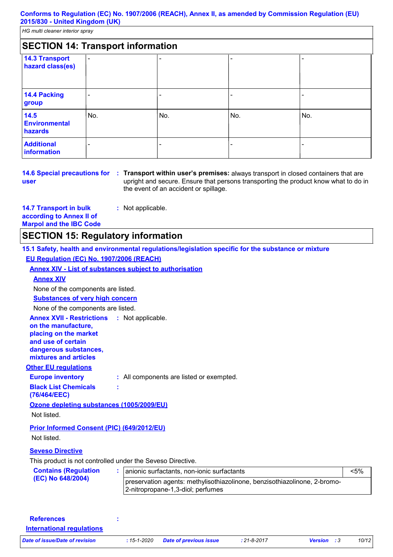*HG multi cleaner interior spray*

|                                           | <b>SECTION 14: Transport information</b> |     |     |     |
|-------------------------------------------|------------------------------------------|-----|-----|-----|
| <b>14.3 Transport</b><br>hazard class(es) | $\overline{\phantom{a}}$                 | ۰   |     |     |
| 14.4 Packing<br>group                     | $\qquad \qquad \blacksquare$             |     |     |     |
| 14.5<br><b>Environmental</b><br>hazards   | No.                                      | No. | No. | No. |
| <b>Additional</b><br>information          | -                                        | -   |     |     |

**user**

**14.6 Special precautions for : Transport within user's premises: always transport in closed containers that are** upright and secure. Ensure that persons transporting the product know what to do in the event of an accident or spillage.

**14.7 Transport in bulk according to Annex II of Marpol and the IBC Code :** Not applicable.

### **SECTION 15: Regulatory information**

|                                                                                                                                                          | 15.1 Safety, health and environmental regulations/legislation specific for the substance or mixture            |         |
|----------------------------------------------------------------------------------------------------------------------------------------------------------|----------------------------------------------------------------------------------------------------------------|---------|
| EU Regulation (EC) No. 1907/2006 (REACH)                                                                                                                 |                                                                                                                |         |
| <b>Annex XIV - List of substances subject to authorisation</b>                                                                                           |                                                                                                                |         |
| <b>Annex XIV</b>                                                                                                                                         |                                                                                                                |         |
| None of the components are listed.                                                                                                                       |                                                                                                                |         |
| <b>Substances of very high concern</b>                                                                                                                   |                                                                                                                |         |
| None of the components are listed.                                                                                                                       |                                                                                                                |         |
| <b>Annex XVII - Restrictions</b><br>on the manufacture,<br>placing on the market<br>and use of certain<br>dangerous substances,<br>mixtures and articles | : Not applicable.                                                                                              |         |
| <b>Other EU regulations</b>                                                                                                                              |                                                                                                                |         |
| <b>Europe inventory</b>                                                                                                                                  | : All components are listed or exempted.                                                                       |         |
| <b>Black List Chemicals</b><br>(76/464/EEC)                                                                                                              |                                                                                                                |         |
| Ozone depleting substances (1005/2009/EU)                                                                                                                |                                                                                                                |         |
| Not listed.                                                                                                                                              |                                                                                                                |         |
| Prior Informed Consent (PIC) (649/2012/EU)<br>Not listed.                                                                                                |                                                                                                                |         |
| <b>Seveso Directive</b>                                                                                                                                  |                                                                                                                |         |
| This product is not controlled under the Seveso Directive.                                                                                               |                                                                                                                |         |
| <b>Contains (Regulation</b>                                                                                                                              | anionic surfactants, non-ionic surfactants                                                                     | $< 5\%$ |
| (EC) No 648/2004)                                                                                                                                        | preservation agents: methylisothiazolinone, benzisothiazolinone, 2-bromo-<br>2-nitropropane-1,3-diol; perfumes |         |

| <b>References</b>                |               |                               |                   |                    |       |
|----------------------------------|---------------|-------------------------------|-------------------|--------------------|-------|
| <b>International requiations</b> |               |                               |                   |                    |       |
| Date of issue/Date of revision   | $:15$ -1-2020 | <b>Date of previous issue</b> | $: 21 - 8 - 2017$ | <b>Version</b> : 3 | 10/12 |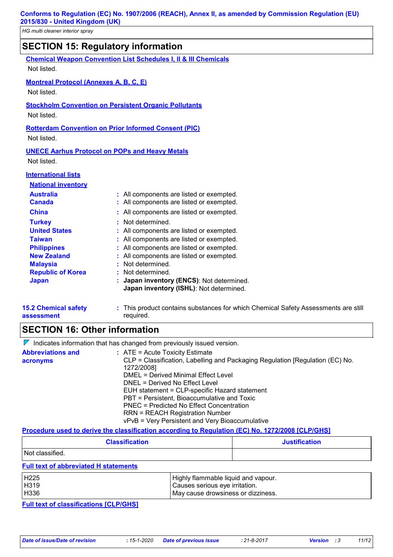| <u>HIGHININ CIEANEL INIENOL SPIAY</u>         |                                                                            |
|-----------------------------------------------|----------------------------------------------------------------------------|
|                                               | <b>SECTION 15: Regulatory information</b>                                  |
|                                               | <b>Chemical Weapon Convention List Schedules I, II &amp; III Chemicals</b> |
| Not listed.                                   |                                                                            |
| <b>Montreal Protocol (Annexes A, B, C, E)</b> |                                                                            |
| Not listed.                                   |                                                                            |
|                                               | <b>Stockholm Convention on Persistent Organic Pollutants</b>               |
| Not listed.                                   |                                                                            |
|                                               | <b>Rotterdam Convention on Prior Informed Consent (PIC)</b>                |
| Not listed.                                   |                                                                            |
|                                               | <b>UNECE Aarhus Protocol on POPs and Heavy Metals</b>                      |
| Not listed.                                   |                                                                            |
| <b>International lists</b>                    |                                                                            |
| <b>National inventory</b>                     |                                                                            |
| <b>Australia</b>                              | : All components are listed or exempted.                                   |
| <b>Canada</b>                                 | All components are listed or exempted.                                     |
| <b>China</b>                                  | All components are listed or exempted.                                     |
| <b>Turkey</b>                                 | Not determined.                                                            |
| <b>United States</b>                          | All components are listed or exempted.                                     |
| <b>Taiwan</b>                                 | All components are listed or exempted.                                     |
| <b>Philippines</b>                            | All components are listed or exempted.                                     |
| <b>New Zealand</b>                            | All components are listed or exempted.                                     |
| <b>Malaysia</b>                               | Not determined.                                                            |

- **Republic of Korea :** Not determined.
- **Japan : Japan inventory (ENCS)**: Not determined. **Japan inventory (ISHL)**: Not determined.

| <b>15.2 Chemical safety</b> | : This product contains substances for which Chemical Safety Assessments are still |
|-----------------------------|------------------------------------------------------------------------------------|
| assessment                  | required.                                                                          |

### **SECTION 16: Other information**

 $\nabla$  Indicates information that has changed from previously issued version.

| <b>Abbreviations and</b> | $\therefore$ ATE = Acute Toxicity Estimate                                                  |
|--------------------------|---------------------------------------------------------------------------------------------|
| acronyms                 | CLP = Classification, Labelling and Packaging Regulation [Regulation (EC) No.<br>1272/2008] |
|                          | DMEL = Derived Minimal Effect Level                                                         |
|                          | DNEL = Derived No Effect Level                                                              |
|                          | EUH statement = CLP-specific Hazard statement                                               |
|                          | PBT = Persistent, Bioaccumulative and Toxic                                                 |
|                          | PNEC = Predicted No Effect Concentration                                                    |
|                          | <b>RRN = REACH Registration Number</b>                                                      |
|                          | vPvB = Very Persistent and Very Bioaccumulative                                             |

#### **Procedure used to derive the classification according to Regulation (EC) No. 1272/2008 [CLP/GHS]**

| <b>Classification</b> | <b>Justification</b> |
|-----------------------|----------------------|
| Not classified.       |                      |

#### **Full text of abbreviated H statements**

| <b>H225</b> | Highly flammable liquid and vapour. |
|-------------|-------------------------------------|
| H319        | I Causes serious eye irritation.    |
| H336        | May cause drowsiness or dizziness.  |

**Full text of classifications [CLP/GHS]**